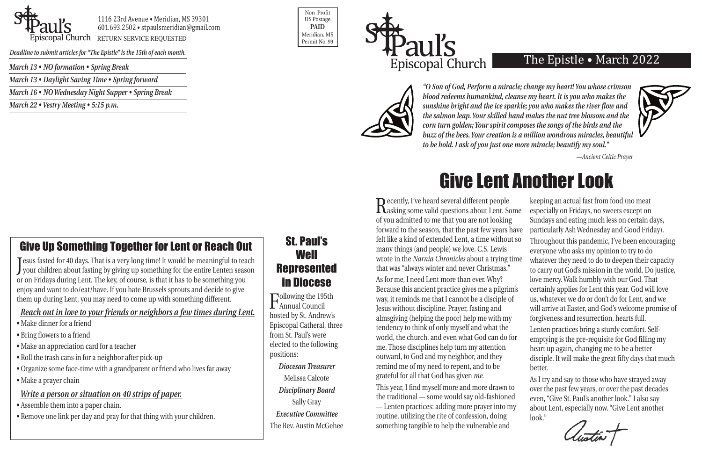

1116 23rd Avenue • Meridian, MS 39301 601.693.2502 • stpaulsmeridian@gmail.com piscopal Church RETURN SERVICE REQUESTED

Non Profit US Postage **PAID** Meridian, MS





*Deadline to submit articles for "The Epistle" is the 15th of each month.* 

## The Epistle • March 2022



*"O Son of God, Perform a miracle; change my heart! You whose crimson blood redeems humankind, cleanse my heart. It is you who makes the sunshine bright and the ice sparkle; you who makes the river flow and the salmon leap. Your skilled hand makes the nut tree blossom and the corn turn golden; Your spirit composes the songs of the birds and the buzz of the bees. Your creation is a million wondrous miracles, beautiful to be hold. I ask of you just one more miracle; beautify my soul."* 

*—Ancient Celtic Prayer*

Recently, I've heard several different people<br>Rasking some valid questions about Lent. Some of you admitted to me that you are not looking forward to the season, that the past few years ha felt like a kind of extended Lent, a time without many things (and people) we love. C.S. Lewis wrote in the *Narnia Chronicles* about a trying time that was "always winter and never Christmas." As for me, I need Lent more than ever. Why? Because this ancient practice gives me a pilgrim' way, it reminds me that I cannot be a disciple of Jesus without discipline. Prayer, fasting and almsgiving (helping the poor) help me with my tendency to think of only myself and what the world, the church, and even what God can do for me. Those disciplines help turn my attention outward, to God and my neighbor, and they remind me of my need to repent, and to be grateful for all that God has given *me*.

This year, I find myself more and more drawn to the traditional — some would say old-fashioned — Lenten practices: adding more prayer into my routine, utilizing the rite of confession, doing something tangible to help the vulnerable and

|                | keeping an actual fast from food (no meat                                                                 |
|----------------|-----------------------------------------------------------------------------------------------------------|
| ne             | especially on Fridays, no sweets except on                                                                |
|                | Sundays and eating much less on certain days,                                                             |
| ave            | particularly Ash Wednesday and Good Friday).                                                              |
| S <sub>O</sub> | Throughout this pandemic, I've been encouraging<br>everyone who asks my opinion to try to do              |
| me             | whatever they need to do to deepen their capacity<br>to carry out God's mission in the world. Do justice, |
|                | love mercy. Walk humbly with our God. That                                                                |
| $\mathcal{S}'$ | certainly applies for Lent this year. God will love                                                       |
|                | us, whatever we do or don't do for Lent, and we                                                           |
|                | will arrive at Easter, and God's welcome promise of                                                       |
|                | forgiveness and resurrection, hearts full.                                                                |
|                | Lenten practices bring a sturdy comfort. Self-                                                            |
| ľ              | emptying is the pre-requisite for God filling my                                                          |
|                | heart up again, changing me to be a better                                                                |
|                | disciple. It will make the great fifty days that much<br>better.                                          |
|                | As I try and say to those who have strayed away                                                           |
|                | over the past few years, or over the past decades                                                         |
|                | even, "Give St. Paul's another look." I also say                                                          |
|                | about Lent, especially now. "Give Lent another                                                            |
|                | look."<br>$\mathbf{I}$                                                                                    |

# Give Lent Another Look

*March 13 • NO formation • Spring Break*

*March 13 • Daylight Saving Time • Spring forward*

*March 16 • NO Wednesday Night Supper • Spring Break*

*March 22 • Vestry Meeting • 5:15 p.m.*

# Give Up Something Together for Lent or Reach Out

J your children about fasting by giving up something for the entire Lenten season **Tesus fasted for 40 days. That is a very long time! It would be meaningful to teach** or on Fridays during Lent. The key, of course, is that it has to be something you enjoy and want to do/eat/have. If you hate Brussels sprouts and decide to give them up during Lent, you may need to come up with something different.

### *Reach out in love to your friends or neighbors a few times during Lent.*

- Make dinner for a friend
- Bring flowers to a friend
- Make an appreciation card for a teacher
- Roll the trash cans in for a neighbor after pick-up
- Organize some face-time with a grandparent or friend who lives far away
- Make a prayer chain

## *Write a person or situation on 40 strips of paper.*

- Assemble them into a paper chain.
- Remove one link per day and pray for that thing with your children.

# St. Paul's **Well** Represented in Diocese

Following the 195th Annual Council hosted by St. Andrew's Episcopal Catheral, three from St. Paul's were elected to the following positions:

### *Diocesan Treasurer*

Melissa Calcote *Disciplinary Board* Sally Gray *Executive Committee* The Rev. Austin McGehee